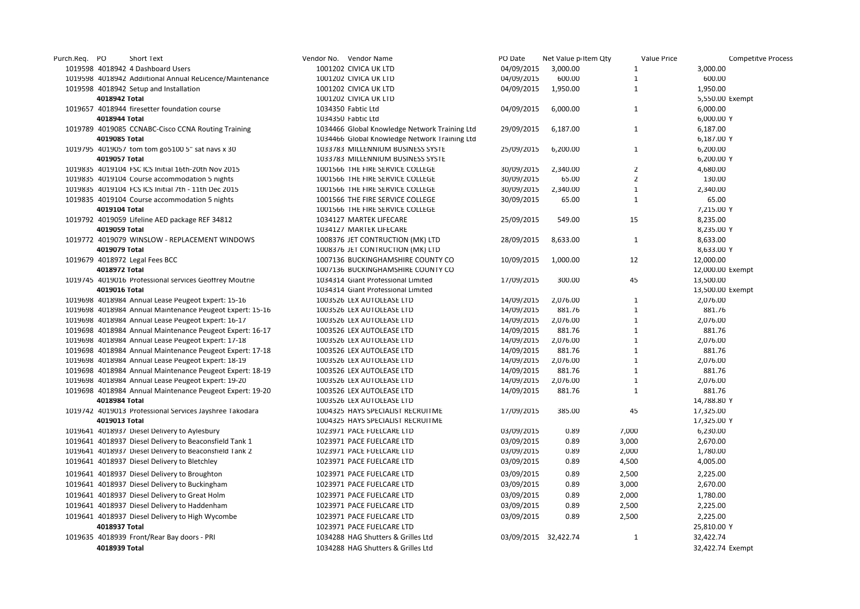| Purch.Req. PO |               | Short Text                                               | Vendor No. Vendor Name                        | PO Date              | Net Value p Item Qty | Value Price    | <b>Competitve Process</b> |
|---------------|---------------|----------------------------------------------------------|-----------------------------------------------|----------------------|----------------------|----------------|---------------------------|
|               |               | 1019598 4018942 4 Dashboard Users                        | 1001202 CIVICA UK LTD                         | 04/09/2015           | 3,000.00             | $\mathbf{1}$   | 3,000.00                  |
|               |               | 1019598 4018942 Addiitional Annual ReLicence/Maintenance | 1001202 CIVICA UK LTD                         | 04/09/2015           | 600.00               | $\mathbf{1}$   | 600.00                    |
|               |               | 1019598 4018942 Setup and Installation                   | 1001202 CIVICA UK LTD                         | 04/09/2015           | 1,950.00             | $\mathbf{1}$   | 1,950.00                  |
|               | 4018942 Total |                                                          | 1001202 CIVICA UK LTD                         |                      |                      |                | 5,550.00 Exempt           |
|               |               | 1019657 4018944 firesetter foundation course             | 1034350 Fabtic Ltd                            | 04/09/2015           | 6,000.00             | $\mathbf{1}$   | 6,000.00                  |
|               | 4018944 Total |                                                          | 1034350 Fabtic Ltd                            |                      |                      |                | 6,000.00 Y                |
|               |               | 1019789 4019085 CCNABC-Cisco CCNA Routing Training       | 1034466 Global Knowledge Network Training Ltd | 29/09/2015           | 6,187.00             | $\mathbf{1}$   | 6,187.00                  |
|               | 4019085 Total |                                                          | 1034466 Global Knowledge Network Training Ltd |                      |                      |                | 6,187.00 Y                |
|               |               | 1019795 4019057 tom tom go5100 5" sat navs x 30          | 1033783 MILLENNIUM BUSINESS SYSTE             | 25/09/2015           | 6,200.00             | $\mathbf{1}$   | 6,200.00                  |
|               | 4019057 Total |                                                          | 1033783 MILLENNIUM BUSINESS SYSTE             |                      |                      |                | 6,200.00 Y                |
|               |               | 1019835 4019104 FSC ICS Initial 16th-20th Nov 2015       | 1001566 THE FIRE SERVICE COLLEGE              | 30/09/2015           | 2,340.00             | $\overline{2}$ | 4,680.00                  |
|               |               | 1019835 4019104 Course accommodation 5 nights            | 1001566 THE FIRE SERVICE COLLEGE              | 30/09/2015           | 65.00                | $\overline{2}$ | 130.00                    |
|               |               | 1019835 4019104 FCS ICS Initial 7th - 11th Dec 2015      | 1001566 THE FIRE SERVICE COLLEGE              | 30/09/2015           | 2,340.00             | $\mathbf{1}$   | 2,340.00                  |
|               |               | 1019835 4019104 Course accommodation 5 nights            | 1001566 THE FIRE SERVICE COLLEGE              | 30/09/2015           | 65.00                | $\mathbf{1}$   | 65.00                     |
|               | 4019104 Total |                                                          | 1001566 THE FIRE SERVICE COLLEGE              |                      |                      |                | 7,215.00 Y                |
|               |               | 1019792 4019059 Lifeline AED package REF 34812           | 1034127 MARTEK LIFECARE                       | 25/09/2015           | 549.00               | 15             | 8,235.00                  |
|               | 4019059 Total |                                                          | 1034127 MARTEK LIFECARE                       |                      |                      |                | 8,235.00 Y                |
|               |               | 1019772 4019079 WINSLOW - REPLACEMENT WINDOWS            | 1008376 JET CONTRUCTION (MK) LTD              | 28/09/2015           | 8,633.00             | $\mathbf{1}$   | 8,633.00                  |
|               | 4019079 Total |                                                          | 1008376 JET CONTRUCTION (MK) LTD              |                      |                      |                | 8,633.00 Y                |
|               |               | 1019679 4018972 Legal Fees BCC                           | 1007136 BUCKINGHAMSHIRE COUNTY CO             | 10/09/2015           | 1,000.00             | 12             | 12,000.00                 |
|               | 4018972 Total |                                                          | 1007136 BUCKINGHAMSHIRE COUNTY CO             |                      |                      |                | 12,000.00 Exempt          |
|               |               | 1019745 4019016 Professional services Geoffrey Moutrie   | 1034314 Giant Professional Limited            | 17/09/2015           | 300.00               | 45             | 13,500.00                 |
|               | 4019016 Total |                                                          | 1034314 Giant Professional Limited            |                      |                      |                | 13,500.00 Exempt          |
|               |               | 1019698 4018984 Annual Lease Peugeot Expert: 15-16       | 1003526 LEX AUTOLEASE LTD                     | 14/09/2015           | 2,076.00             | $\mathbf{1}$   | 2,076.00                  |
|               |               | 1019698 4018984 Annual Maintenance Peugeot Expert: 15-16 | 1003526 LEX AUTOLEASE LTD                     | 14/09/2015           | 881.76               | $\mathbf{1}$   | 881.76                    |
|               |               | 1019698 4018984 Annual Lease Peugeot Expert: 16-17       | 1003526 LEX AUTOLEASE LTD                     | 14/09/2015           | 2,076.00             | $\mathbf{1}$   | 2,076.00                  |
|               |               | 1019698 4018984 Annual Maintenance Peugeot Expert: 16-17 | 1003526 LEX AUTOLEASE LTD                     | 14/09/2015           | 881.76               | $\mathbf{1}$   | 881.76                    |
|               |               | 1019698 4018984 Annual Lease Peugeot Expert: 17-18       | 1003526 LEX AUTOLEASE LTD                     | 14/09/2015           | 2,076.00             | $\mathbf{1}$   | 2,076.00                  |
|               |               | 1019698 4018984 Annual Maintenance Peugeot Expert: 17-18 | 1003526 LEX AUTOLEASE LTD                     | 14/09/2015           | 881.76               | $\mathbf{1}$   | 881.76                    |
|               |               | 1019698 4018984 Annual Lease Peugeot Expert: 18-19       | 1003526 LEX AUTOLEASE LTD                     | 14/09/2015           | 2,076.00             | $\mathbf{1}$   | 2,076.00                  |
|               |               | 1019698 4018984 Annual Maintenance Peugeot Expert: 18-19 | 1003526 LEX AUTOLEASE LTD                     | 14/09/2015           | 881.76               | $\mathbf{1}$   | 881.76                    |
|               |               | 1019698 4018984 Annual Lease Peugeot Expert: 19-20       | 1003526 LEX AUTOLEASE LTD                     | 14/09/2015           | 2,076.00             | $\mathbf{1}$   | 2,076.00                  |
|               |               | 1019698 4018984 Annual Maintenance Peugeot Expert: 19-20 | 1003526 LEX AUTOLEASE LTD                     | 14/09/2015           | 881.76               | $\mathbf{1}$   | 881.76                    |
|               | 4018984 Total |                                                          | 1003526 LEX AUTOLEASE LTD                     |                      |                      |                | 14,788.80 Y               |
|               |               | 1019742 4019013 Protessional Services Jayshree Takodara  | 1004325 HAYS SPECIALIST RECRUITME             | 17/09/2015           | 385.00               | 45             | 17,325.00                 |
|               | 4019013 Total |                                                          | 1004325 HAYS SPECIALIST RECRUITME             |                      |                      |                | 17,325.00 Y               |
|               |               | 1019641 4018937 Diesel Delivery to Aylesbury             | 1023971 PACE FUELCARE LTD                     | 03/09/2015           | 0.89                 | 7,000          | 6,230.00                  |
|               |               | 1019641 4018937 Diesel Delivery to Beaconsfield Tank 1   | 1023971 PACE FUELCARE LTD                     | 03/09/2015           | 0.89                 | 3,000          | 2,670.00                  |
|               |               | 1019641 4018937 Diesel Delivery to Beaconsfield Tank 2   | 1023971 PACE FUELCARE LTD                     | 03/09/2015           | 0.89                 | 2,000          | 1,780.00                  |
|               |               | 1019641 4018937 Diesel Delivery to Bletchley             | 1023971 PACE FUELCARE LTD                     | 03/09/2015           | 0.89                 | 4,500          | 4,005.00                  |
|               |               |                                                          |                                               |                      |                      |                |                           |
|               |               | 1019641 4018937 Diesel Delivery to Broughton             | 1023971 PACE FUELCARE LTD                     | 03/09/2015           | 0.89                 | 2,500          | 2,225.00                  |
|               |               | 1019641 4018937 Diesel Delivery to Buckingham            | 1023971 PACE FUELCARE LTD                     | 03/09/2015           | 0.89                 | 3,000          | 2,670.00                  |
|               |               | 1019641 4018937 Diesel Delivery to Great Holm            | 1023971 PACE FUELCARE LTD                     | 03/09/2015           | 0.89                 | 2,000          | 1,780.00                  |
|               |               | 1019641 4018937 Diesel Delivery to Haddenham             | 1023971 PACE FUELCARE LTD                     | 03/09/2015           | 0.89                 | 2,500          | 2,225.00                  |
|               |               | 1019641 4018937 Diesel Delivery to High Wycombe          | 1023971 PACE FUELCARE LTD                     | 03/09/2015           | 0.89                 | 2,500          | 2,225.00                  |
|               | 4018937 Total |                                                          | 1023971 PACE FUELCARE LTD                     |                      |                      |                | 25,810.00 Y               |
|               |               | 1019635 4018939 Front/Rear Bay doors - PRI               | 1034288 HAG Shutters & Grilles Ltd            | 03/09/2015 32,422.74 |                      | $\mathbf{1}$   | 32,422.74                 |
|               | 4018939 Total |                                                          | 1034288 HAG Shutters & Grilles Ltd            |                      |                      |                | 32,422.74 Exempt          |